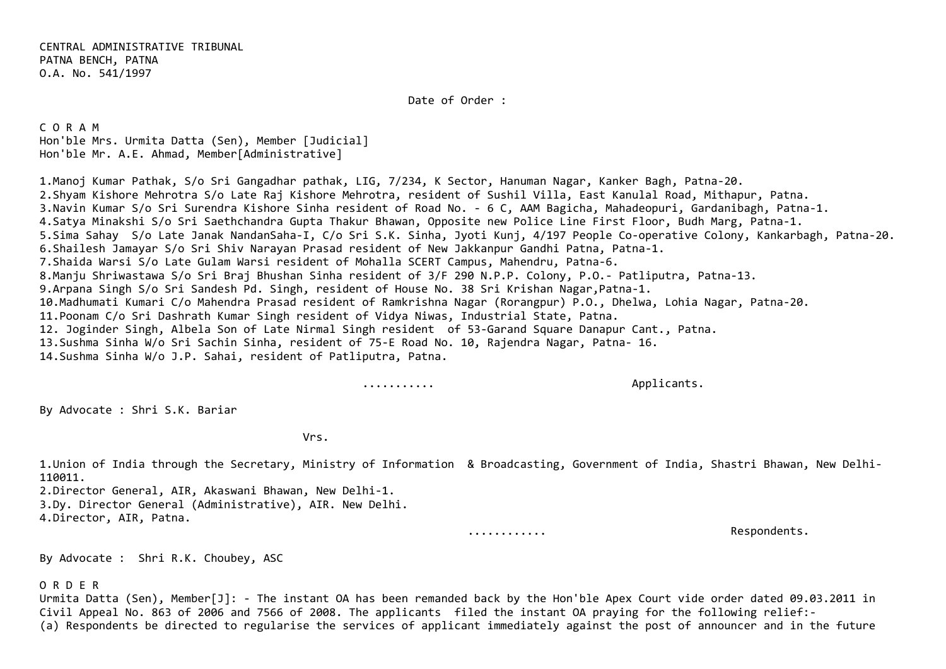Date of Order :

C O R A M Hon'ble Mrs. Urmita Datta (Sen), Member [Judicial] Hon'ble Mr. A.E. Ahmad, Member[Administrative]

1.Manoj Kumar Pathak, S/o Sri Gangadhar pathak, LIG, 7/234, K Sector, Hanuman Nagar, Kanker Bagh, Patna‐20. 2.Shyam Kishore Mehrotra S/o Late Raj Kishore Mehrotra, resident of Sushil Villa, East Kanulal Road, Mithapur, Patna. 3.Navin Kumar S/o Sri Surendra Kishore Sinha resident of Road No. ‐ 6 C, AAM Bagicha, Mahadeopuri, Gardanibagh, Patna‐1. 4.Satya Minakshi S/o Sri Saethchandra Gupta Thakur Bhawan, Opposite new Police Line First Floor, Budh Marg, Patna‐1. 5.Sima Sahay S/o Late Janak NandanSaha‐I, C/o Sri S.K. Sinha, Jyoti Kunj, 4/197 People Co‐operative Colony, Kankarbagh, Patna‐20. 6.Shailesh Jamayar S/o Sri Shiv Narayan Prasad resident of New Jakkanpur Gandhi Patna, Patna‐1. 7.Shaida Warsi S/o Late Gulam Warsi resident of Mohalla SCERT Campus, Mahendru, Patna‐6. 8.Manju Shriwastawa S/o Sri Braj Bhushan Sinha resident of 3/F 290 N.P.P. Colony, P.O.‐ Patliputra, Patna‐13. 9.Arpana Singh S/o Sri Sandesh Pd. Singh, resident of House No. 38 Sri Krishan Nagar,Patna‐1. 10.Madhumati Kumari C/o Mahendra Prasad resident of Ramkrishna Nagar (Rorangpur) P.O., Dhelwa, Lohia Nagar, Patna‐20. 11.Poonam C/o Sri Dashrath Kumar Singh resident of Vidya Niwas, Industrial State, Patna. 12. Joginder Singh, Albela Son of Late Nirmal Singh resident of 53‐Garand Square Danapur Cant., Patna. 13.Sushma Sinha W/o Sri Sachin Sinha, resident of 75‐E Road No. 10, Rajendra Nagar, Patna‐ 16. 14.Sushma Sinha W/o J.P. Sahai, resident of Patliputra, Patna.

........... Applicants.

By Advocate : Shri S.K. Bariar

Vrs.

1.Union of India through the Secretary, Ministry of Information & Broadcasting, Government of India, Shastri Bhawan, New Delhi‐ 110011.

2.Director General, AIR, Akaswani Bhawan, New Delhi‐1. 3.Dy. Director General (Administrative), AIR. New Delhi. 4.Director, AIR, Patna.

............ Respondents.

By Advocate : Shri R.K. Choubey, ASC

O R D E R

Urmita Datta (Sen), Member[J]: ‐ The instant OA has been remanded back by the Hon'ble Apex Court vide order dated 09.03.2011 in Civil Appeal No. 863 of 2006 and 7566 of 2008. The applicants filed the instant OA praying for the following relief:‐ (a) Respondents be directed to regularise the services of applicant immediately against the post of announcer and in the future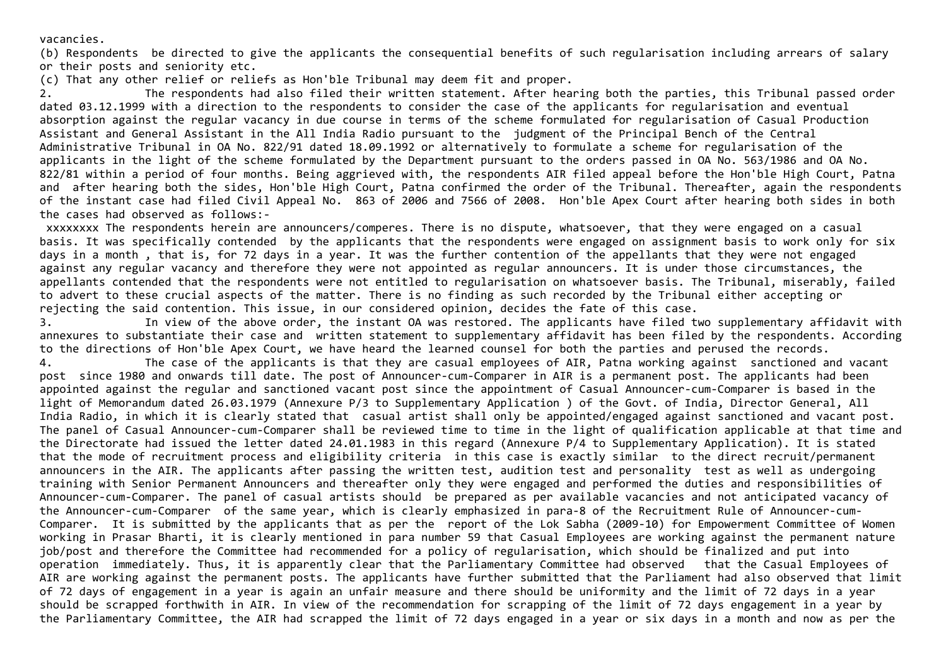vacancies.

(b) Respondents be directed to give the applicants the consequential benefits of such regularisation including arrears of salary or their posts and seniority etc.

(c) That any other relief or reliefs as Hon'ble Tribunal may deem fit and proper.

2. The respondents had also filed their written statement. After hearing both the parties, this Tribunal passed order dated 03.12.1999 with a direction to the respondents to consider the case of the applicants for regularisation and eventual absorption against the regular vacancy in due course in terms of the scheme formulated for regularisation of Casual Production Assistant and General Assistant in the All India Radio pursuant to the judgment of the Principal Bench of the Central Administrative Tribunal in OA No. 822/91 dated 18.09.1992 or alternatively to formulate a scheme for regularisation of the applicants in the light of the scheme formulated by the Department pursuant to the orders passed in OA No. 563/1986 and OA No. 822/81 within a period of four months. Being aggrieved with, the respondents AIR filed appeal before the Hon'ble High Court, Patna and after hearing both the sides, Hon'ble High Court, Patna confirmed the order of the Tribunal. Thereafter, again the respondents of the instant case had filed Civil Appeal No. 863 of 2006 and 7566 of 2008. Hon'ble Apex Court after hearing both sides in both the cases had observed as follows:‐

xxxxxxxx The respondents herein are announcers/comperes. There is no dispute, whatsoever, that they were engaged on a casual basis. It was specifically contended by the applicants that the respondents were engaged on assignment basis to work only for six days in a month , that is, for 72 days in a year. It was the further contention of the appellants that they were not engaged against any regular vacancy and therefore they were not appointed as regular announcers. It is under those circumstances, the appellants contended that the respondents were not entitled to regularisation on whatsoever basis. The Tribunal, miserably, failed to advert to these crucial aspects of the matter. There is no finding as such recorded by the Tribunal either accepting or rejecting the said contention. This issue, in our considered opinion, decides the fate of this case.

3. In view of the above order, the instant OA was restored. The applicants have filed two supplementary affidavit with annexures to substantiate their case and written statement to supplementary affidavit has been filed by the respondents. According to the directions of Hon'ble Apex Court, we have heard the learned counsel for both the parties and perused the records.

4. The case of the applicants is that they are casual employees of AIR, Patna working against sanctioned and vacant post since 1980 and onwards till date. The post of Announcer‐cum‐Comparer in AIR is a permanent post. The applicants had been appointed against the regular and sanctioned vacant post since the appointment of Casual Announcer‐cum‐Comparer is based in the light of Memorandum dated 26.03.1979 (Annexure P/3 to Supplementary Application ) of the Govt. of India, Director General, All India Radio, in which it is clearly stated that casual artist shall only be appointed/engaged against sanctioned and vacant post. The panel of Casual Announcer-cum-Comparer shall be reviewed time to time in the light of qualification applicable at that time and the Directorate had issued the letter dated 24.01.1983 in this regard (Annexure P/4 to Supplementary Application). It is stated that the mode of recruitment process and eligibility criteria in this case is exactly similar to the direct recruit/permanent announcers in the AIR. The applicants after passing the written test, audition test and personality test as well as undergoing training with Senior Permanent Announcers and thereafter only they were engaged and performed the duties and responsibilities of Announcer‐cum‐Comparer. The panel of casual artists should be prepared as per available vacancies and not anticipated vacancy of the Announcer‐cum‐Comparer of the same year, which is clearly emphasized in para‐8 of the Recruitment Rule of Announcer‐cum‐ Comparer. It is submitted by the applicants that as per the report of the Lok Sabha (2009‐10) for Empowerment Committee of Women working in Prasar Bharti, it is clearly mentioned in para number 59 that Casual Employees are working against the permanent nature job/post and therefore the Committee had recommended for a policy of regularisation, which should be finalized and put into operation immediately. Thus, it is apparently clear that the Parliamentary Committee had observed that the Casual Employees of AIR are working against the permanent posts. The applicants have further submitted that the Parliament had also observed that limit of 72 days of engagement in a year is again an unfair measure and there should be uniformity and the limit of 72 days in a year should be scrapped forthwith in AIR. In view of the recommendation for scrapping of the limit of 72 days engagement in a year by the Parliamentary Committee, the AIR had scrapped the limit of 72 days engaged in a year or six days in a month and now as per the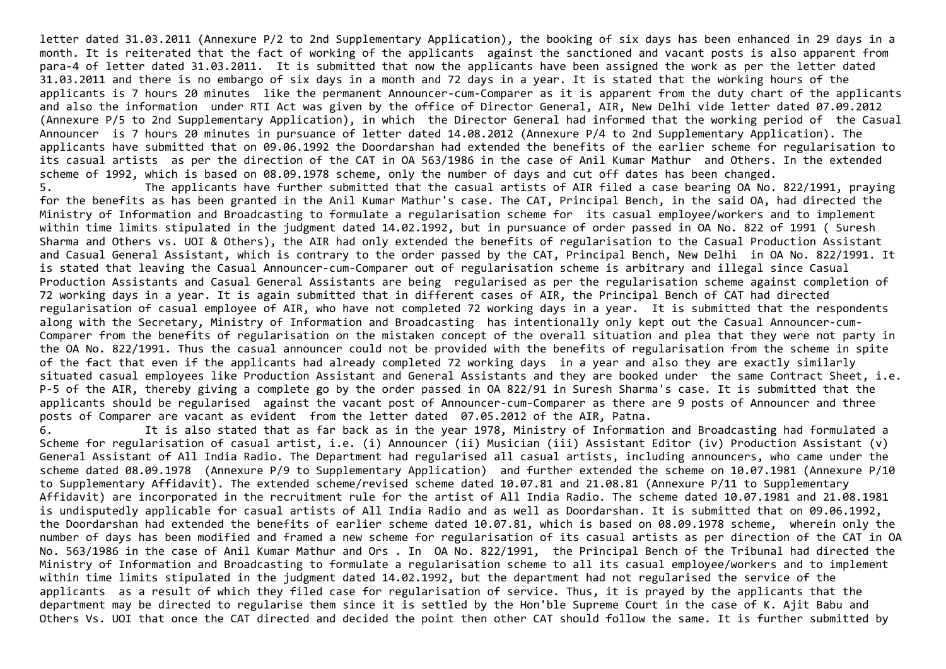letter dated 31.03.2011 (Annexure P/2 to 2nd Supplementary Application), the booking of six days has been enhanced in 29 days in a month. It is reiterated that the fact of working of the applicants against the sanctioned and vacant posts is also apparent from para‐4 of letter dated 31.03.2011. It is submitted that now the applicants have been assigned the work as per the letter dated 31.03.2011 and there is no embargo of six days in a month and 72 days in a year. It is stated that the working hours of the applicants is 7 hours 20 minutes like the permanent Announcer‐cum‐Comparer as it is apparent from the duty chart of the applicants and also the information under RTI Act was given by the office of Director General, AIR, New Delhi vide letter dated 07.09.2012 (Annexure P/5 to 2nd Supplementary Application), in which the Director General had informed that the working period of the Casual Announcer is 7 hours 20 minutes in pursuance of letter dated 14.08.2012 (Annexure P/4 to 2nd Supplementary Application). The applicants have submitted that on 09.06.1992 the Doordarshan had extended the benefits of the earlier scheme for regularisation to its casual artists as per the direction of the CAT in OA 563/1986 in the case of Anil Kumar Mathur and Others. In the extended scheme of 1992, which is based on 08.09.1978 scheme, only the number of days and cut off dates has been changed.

5. The applicants have further submitted that the casual artists of AIR filed a case bearing OA No. 822/1991, praying for the benefits as has been granted in the Anil Kumar Mathur's case. The CAT, Principal Bench, in the said OA, had directed the Ministry of Information and Broadcasting to formulate a regularisation scheme for its casual employee/workers and to implement within time limits stipulated in the judgment dated 14.02.1992, but in pursuance of order passed in OA No. 822 of 1991 ( Suresh Sharma and Others vs. UOI & Others), the AIR had only extended the benefits of regularisation to the Casual Production Assistant and Casual General Assistant, which is contrary to the order passed by the CAT, Principal Bench, New Delhi in OA No. 822/1991. It is stated that leaving the Casual Announcer‐cum‐Comparer out of regularisation scheme is arbitrary and illegal since Casual Production Assistants and Casual General Assistants are being regularised as per the regularisation scheme against completion of 72 working days in a year. It is again submitted that in different cases of AIR, the Principal Bench of CAT had directed regularisation of casual employee of AIR, who have not completed 72 working days in a year. It is submitted that the respondents along with the Secretary, Ministry of Information and Broadcasting has intentionally only kept out the Casual Announcer-cum-Comparer from the benefits of regularisation on the mistaken concept of the overall situation and plea that they were not party in the OA No. 822/1991. Thus the casual announcer could not be provided with the benefits of regularisation from the scheme in spite of the fact that even if the applicants had already completed 72 working days in a year and also they are exactly similarly situated casual employees like Production Assistant and General Assistants and they are booked under the same Contract Sheet, i.e. P‐5 of the AIR, thereby giving a complete go by the order passed in OA 822/91 in Suresh Sharma's case. It is submitted that the applicants should be regularised against the vacant post of Announcer‐cum‐Comparer as there are 9 posts of Announcer and three posts of Comparer are vacant as evident from the letter dated 07.05.2012 of the AIR, Patna.

6. It is also stated that as far back as in the year 1978, Ministry of Information and Broadcasting had formulated a Scheme for regularisation of casual artist, i.e. (i) Announcer (ii) Musician (iii) Assistant Editor (iv) Production Assistant (v) General Assistant of All India Radio. The Department had regularised all casual artists, including announcers, who came under the scheme dated 08.09.1978 (Annexure P/9 to Supplementary Application) and further extended the scheme on 10.07.1981 (Annexure P/10 to Supplementary Affidavit). The extended scheme/revised scheme dated 10.07.81 and 21.08.81 (Annexure P/11 to Supplementary Affidavit) are incorporated in the recruitment rule for the artist of All India Radio. The scheme dated 10.07.1981 and 21.08.1981 is undisputedly applicable for casual artists of All India Radio and as well as Doordarshan. It is submitted that on 09.06.1992, the Doordarshan had extended the benefits of earlier scheme dated 10.07.81, which is based on 08.09.1978 scheme, wherein only the number of days has been modified and framed a new scheme for regularisation of its casual artists as per direction of the CAT in OA No. 563/1986 in the case of Anil Kumar Mathur and Ors . In OA No. 822/1991, the Principal Bench of the Tribunal had directed the Ministry of Information and Broadcasting to formulate a regularisation scheme to all its casual employee/workers and to implement within time limits stipulated in the judgment dated 14.02.1992, but the department had not regularised the service of the applicants as a result of which they filed case for regularisation of service. Thus, it is prayed by the applicants that the department may be directed to regularise them since it is settled by the Hon'ble Supreme Court in the case of K. Ajit Babu and Others Vs. UOI that once the CAT directed and decided the point then other CAT should follow the same. It is further submitted by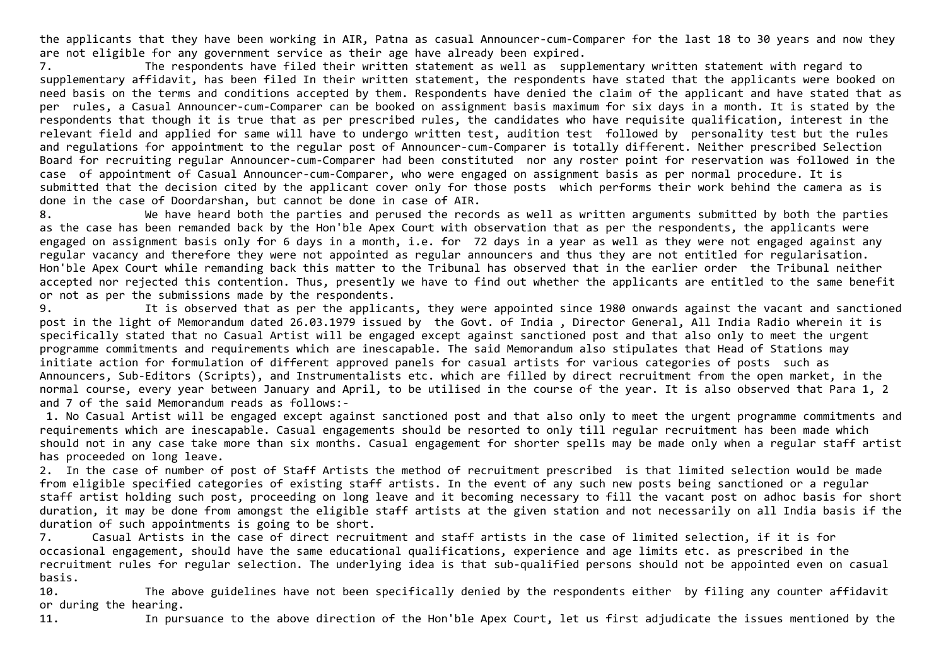the applicants that they have been working in AIR, Patna as casual Announcer-cum-Comparer for the last 18 to 30 years and now they are not eligible for any government service as their age have already been expired.

7. The respondents have filed their written statement as well as supplementary written statement with regard to supplementary affidavit, has been filed In their written statement, the respondents have stated that the applicants were booked on need basis on the terms and conditions accepted by them. Respondents have denied the claim of the applicant and have stated that as per rules, a Casual Announcer‐cum‐Comparer can be booked on assignment basis maximum for six days in a month. It is stated by the respondents that though it is true that as per prescribed rules, the candidates who have requisite qualification, interest in the relevant field and applied for same will have to undergo written test, audition test followed by personality test but the rules and regulations for appointment to the regular post of Announcer‐cum‐Comparer is totally different. Neither prescribed Selection Board for recruiting regular Announcer-cum-Comparer had been constituted nor any roster point for reservation was followed in the case of appointment of Casual Announcer‐cum‐Comparer, who were engaged on assignment basis as per normal procedure. It is submitted that the decision cited by the applicant cover only for those posts which performs their work behind the camera as is done in the case of Doordarshan, but cannot be done in case of AIR.

8. We have heard both the parties and perused the records as well as written arguments submitted by both the parties as the case has been remanded back by the Hon'ble Apex Court with observation that as per the respondents, the applicants were engaged on assignment basis only for 6 days in a month, i.e. for 72 days in a year as well as they were not engaged against any regular vacancy and therefore they were not appointed as regular announcers and thus they are not entitled for regularisation. Hon'ble Apex Court while remanding back this matter to the Tribunal has observed that in the earlier order the Tribunal neither accepted nor rejected this contention. Thus, presently we have to find out whether the applicants are entitled to the same benefit or not as per the submissions made by the respondents.

9. It is observed that as per the applicants, they were appointed since 1980 onwards against the vacant and sanctioned post in the light of Memorandum dated 26.03.1979 issued by the Govt. of India , Director General, All India Radio wherein it is specifically stated that no Casual Artist will be engaged except against sanctioned post and that also only to meet the urgent programme commitments and requirements which are inescapable. The said Memorandum also stipulates that Head of Stations may initiate action for formulation of different approved panels for casual artists for various categories of posts such as Announcers, Sub‐Editors (Scripts), and Instrumentalists etc. which are filled by direct recruitment from the open market, in the normal course, every year between January and April, to be utilised in the course of the year. It is also observed that Para 1, 2 and 7 of the said Memorandum reads as follows:‐

1. No Casual Artist will be engaged except against sanctioned post and that also only to meet the urgent programme commitments and requirements which are inescapable. Casual engagements should be resorted to only till regular recruitment has been made which should not in any case take more than six months. Casual engagement for shorter spells may be made only when a regular staff artist has proceeded on long leave.

2. In the case of number of post of Staff Artists the method of recruitment prescribed is that limited selection would be made from eligible specified categories of existing staff artists. In the event of any such new posts being sanctioned or a regular staff artist holding such post, proceeding on long leave and it becoming necessary to fill the vacant post on adhoc basis for short duration, it may be done from amongst the eligible staff artists at the given station and not necessarily on all India basis if the duration of such appointments is going to be short.

7. Casual Artists in the case of direct recruitment and staff artists in the case of limited selection, if it is for occasional engagement, should have the same educational qualifications, experience and age limits etc. as prescribed in the recruitment rules for regular selection. The underlying idea is that sub‐qualified persons should not be appointed even on casual basis.

10. The above guidelines have not been specifically denied by the respondents either by filing any counter affidavit or during the hearing.

11. In pursuance to the above direction of the Hon'ble Apex Court, let us first adjudicate the issues mentioned by the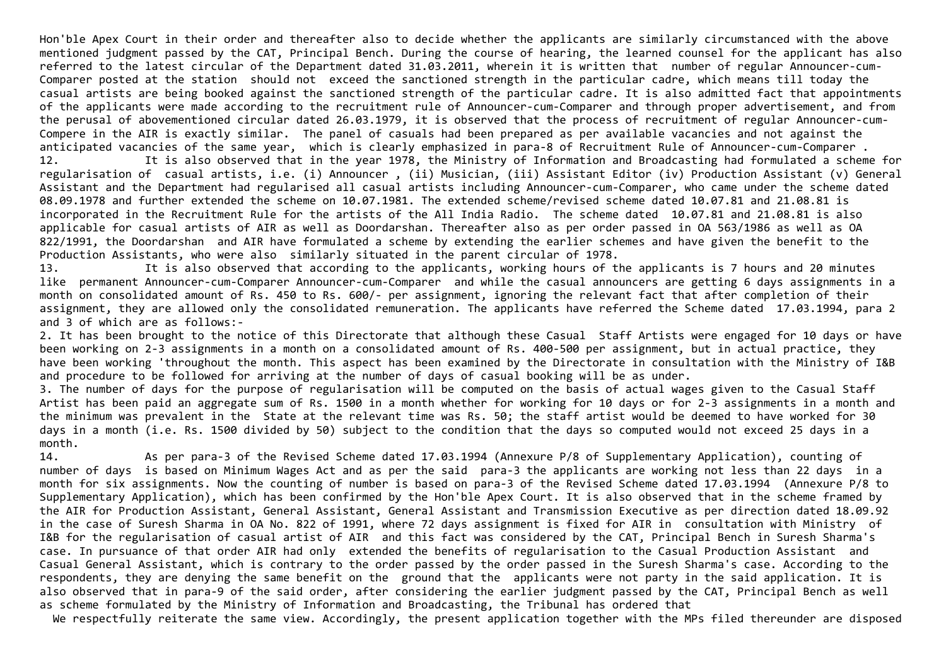Hon'ble Apex Court in their order and thereafter also to decide whether the applicants are similarly circumstanced with the above mentioned judgment passed by the CAT, Principal Bench. During the course of hearing, the learned counsel for the applicant has also referred to the latest circular of the Department dated 31.03.2011, wherein it is written that number of regular Announcer‐cum‐ Comparer posted at the station should not exceed the sanctioned strength in the particular cadre, which means till today the casual artists are being booked against the sanctioned strength of the particular cadre. It is also admitted fact that appointments of the applicants were made according to the recruitment rule of Announcer‐cum‐Comparer and through proper advertisement, and from the perusal of abovementioned circular dated 26.03.1979, it is observed that the process of recruitment of regular Announcer‐cum‐ Compere in the AIR is exactly similar. The panel of casuals had been prepared as per available vacancies and not against the anticipated vacancies of the same year, which is clearly emphasized in para‐8 of Recruitment Rule of Announcer‐cum‐Comparer . 12. It is also observed that in the year 1978, the Ministry of Information and Broadcasting had formulated a scheme for regularisation of casual artists, i.e. (i) Announcer , (ii) Musician, (iii) Assistant Editor (iv) Production Assistant (v) General Assistant and the Department had regularised all casual artists including Announcer‐cum‐Comparer, who came under the scheme dated 08.09.1978 and further extended the scheme on 10.07.1981. The extended scheme/revised scheme dated 10.07.81 and 21.08.81 is

incorporated in the Recruitment Rule for the artists of the All India Radio. The scheme dated 10.07.81 and 21.08.81 is also applicable for casual artists of AIR as well as Doordarshan. Thereafter also as per order passed in OA 563/1986 as well as OA 822/1991, the Doordarshan and AIR have formulated a scheme by extending the earlier schemes and have given the benefit to the Production Assistants, who were also similarly situated in the parent circular of 1978.

13. It is also observed that according to the applicants, working hours of the applicants is 7 hours and 20 minutes like permanent Announcer‐cum‐Comparer Announcer‐cum‐Comparer and while the casual announcers are getting 6 days assignments in a month on consolidated amount of Rs. 450 to Rs. 600/‐ per assignment, ignoring the relevant fact that after completion of their assignment, they are allowed only the consolidated remuneration. The applicants have referred the Scheme dated 17.03.1994, para 2 and 3 of which are as follows:‐

2. It has been brought to the notice of this Directorate that although these Casual Staff Artists were engaged for 10 days or have been working on 2‐3 assignments in a month on a consolidated amount of Rs. 400‐500 per assignment, but in actual practice, they have been working 'throughout the month. This aspect has been examined by the Directorate in consultation with the Ministry of I&B and procedure to be followed for arriving at the number of days of casual booking will be as under.

3. The number of days for the purpose of regularisation will be computed on the basis of actual wages given to the Casual Staff Artist has been paid an aggregate sum of Rs. 1500 in a month whether for working for 10 days or for 2‐3 assignments in a month and the minimum was prevalent in the State at the relevant time was Rs. 50; the staff artist would be deemed to have worked for 30 days in a month (i.e. Rs. 1500 divided by 50) subject to the condition that the days so computed would not exceed 25 days in a month.

14. As per para‐3 of the Revised Scheme dated 17.03.1994 (Annexure P/8 of Supplementary Application), counting of number of days is based on Minimum Wages Act and as per the said para‐3 the applicants are working not less than 22 days in a month for six assignments. Now the counting of number is based on para‐3 of the Revised Scheme dated 17.03.1994 (Annexure P/8 to Supplementary Application), which has been confirmed by the Hon'ble Apex Court. It is also observed that in the scheme framed by the AIR for Production Assistant, General Assistant, General Assistant and Transmission Executive as per direction dated 18.09.92 in the case of Suresh Sharma in OA No. 822 of 1991, where 72 days assignment is fixed for AIR in consultation with Ministry of I&B for the regularisation of casual artist of AIR and this fact was considered by the CAT, Principal Bench in Suresh Sharma's case. In pursuance of that order AIR had only extended the benefits of regularisation to the Casual Production Assistant and Casual General Assistant, which is contrary to the order passed by the order passed in the Suresh Sharma's case. According to the respondents, they are denying the same benefit on the ground that the applicants were not party in the said application. It is also observed that in para‐9 of the said order, after considering the earlier judgment passed by the CAT, Principal Bench as well as scheme formulated by the Ministry of Information and Broadcasting, the Tribunal has ordered that

We respectfully reiterate the same view. Accordingly, the present application together with the MPs filed thereunder are disposed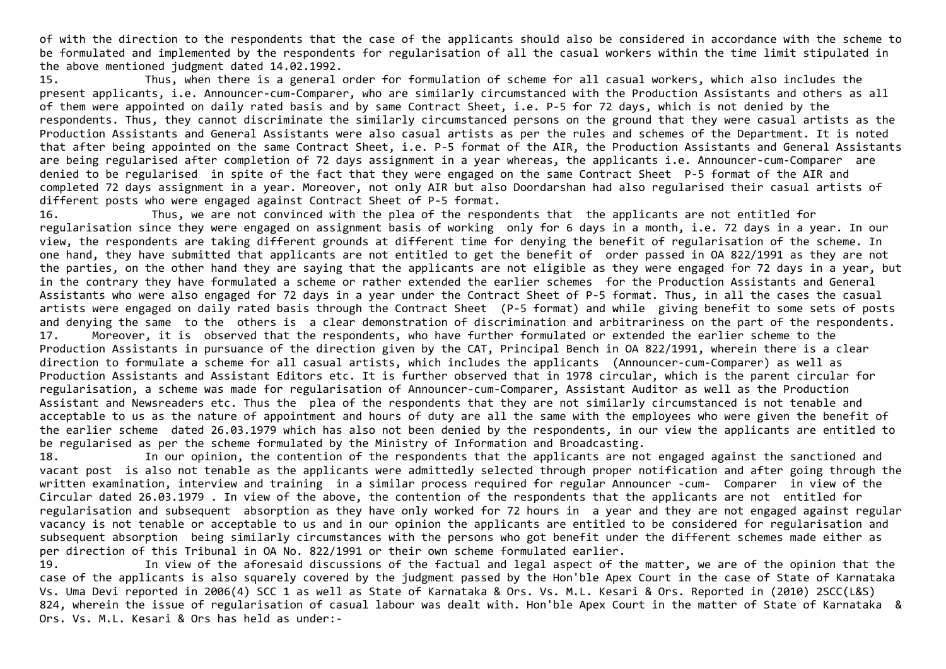of with the direction to the respondents that the case of the applicants should also be considered in accordance with the scheme to be formulated and implemented by the respondents for regularisation of all the casual workers within the time limit stipulated in the above mentioned judgment dated 14.02.1992.

15. Thus, when there is a general order for formulation of scheme for all casual workers, which also includes the present applicants, i.e. Announcer‐cum‐Comparer, who are similarly circumstanced with the Production Assistants and others as all of them were appointed on daily rated basis and by same Contract Sheet, i.e. P‐5 for 72 days, which is not denied by the respondents. Thus, they cannot discriminate the similarly circumstanced persons on the ground that they were casual artists as the Production Assistants and General Assistants were also casual artists as per the rules and schemes of the Department. It is noted that after being appointed on the same Contract Sheet, i.e. P‐5 format of the AIR, the Production Assistants and General Assistants are being regularised after completion of 72 days assignment in a year whereas, the applicants i.e. Announcer-cum-Comparer are denied to be regularised in spite of the fact that they were engaged on the same Contract Sheet P‐5 format of the AIR and completed 72 days assignment in a year. Moreover, not only AIR but also Doordarshan had also regularised their casual artists of different posts who were engaged against Contract Sheet of P‐5 format.

16. Thus, we are not convinced with the plea of the respondents that the applicants are not entitled for regularisation since they were engaged on assignment basis of working only for 6 days in a month, i.e. 72 days in a year. In our view, the respondents are taking different grounds at different time for denying the benefit of regularisation of the scheme. In one hand, they have submitted that applicants are not entitled to get the benefit of order passed in OA 822/1991 as they are not the parties, on the other hand they are saying that the applicants are not eligible as they were engaged for 72 days in a year, but in the contrary they have formulated a scheme or rather extended the earlier schemes for the Production Assistants and General Assistants who were also engaged for 72 days in a year under the Contract Sheet of P‐5 format. Thus, in all the cases the casual artists were engaged on daily rated basis through the Contract Sheet (P‐5 format) and while giving benefit to some sets of posts and denying the same to the others is a clear demonstration of discrimination and arbitrariness on the part of the respondents. 17. Moreover, it is observed that the respondents, who have further formulated or extended the earlier scheme to the Production Assistants in pursuance of the direction given by the CAT, Principal Bench in OA 822/1991, wherein there is a clear direction to formulate a scheme for all casual artists, which includes the applicants (Announcer-cum-Comparer) as well as Production Assistants and Assistant Editors etc. It is further observed that in 1978 circular, which is the parent circular for regularisation, a scheme was made for regularisation of Announcer‐cum‐Comparer, Assistant Auditor as well as the Production Assistant and Newsreaders etc. Thus the plea of the respondents that they are not similarly circumstanced is not tenable and acceptable to us as the nature of appointment and hours of duty are all the same with the employees who were given the benefit of the earlier scheme dated 26.03.1979 which has also not been denied by the respondents, in our view the applicants are entitled to be regularised as per the scheme formulated by the Ministry of Information and Broadcasting.

18. In our opinion, the contention of the respondents that the applicants are not engaged against the sanctioned and vacant post is also not tenable as the applicants were admittedly selected through proper notification and after going through the written examination, interview and training in a similar process required for regular Announcer -cum- Comparer in view of the Circular dated 26.03.1979 . In view of the above, the contention of the respondents that the applicants are not entitled for regularisation and subsequent absorption as they have only worked for 72 hours in a year and they are not engaged against regular vacancy is not tenable or acceptable to us and in our opinion the applicants are entitled to be considered for regularisation and subsequent absorption being similarly circumstances with the persons who got benefit under the different schemes made either as per direction of this Tribunal in OA No. 822/1991 or their own scheme formulated earlier.

19. In view of the aforesaid discussions of the factual and legal aspect of the matter, we are of the opinion that the case of the applicants is also squarely covered by the judgment passed by the Hon'ble Apex Court in the case of State of Karnataka Vs. Uma Devi reported in 2006(4) SCC 1 as well as State of Karnataka & Ors. Vs. M.L. Kesari & Ors. Reported in (2010) 2SCC(L&S) 824, wherein the issue of regularisation of casual labour was dealt with. Hon'ble Apex Court in the matter of State of Karnataka & Ors. Vs. M.L. Kesari & Ors has held as under:‐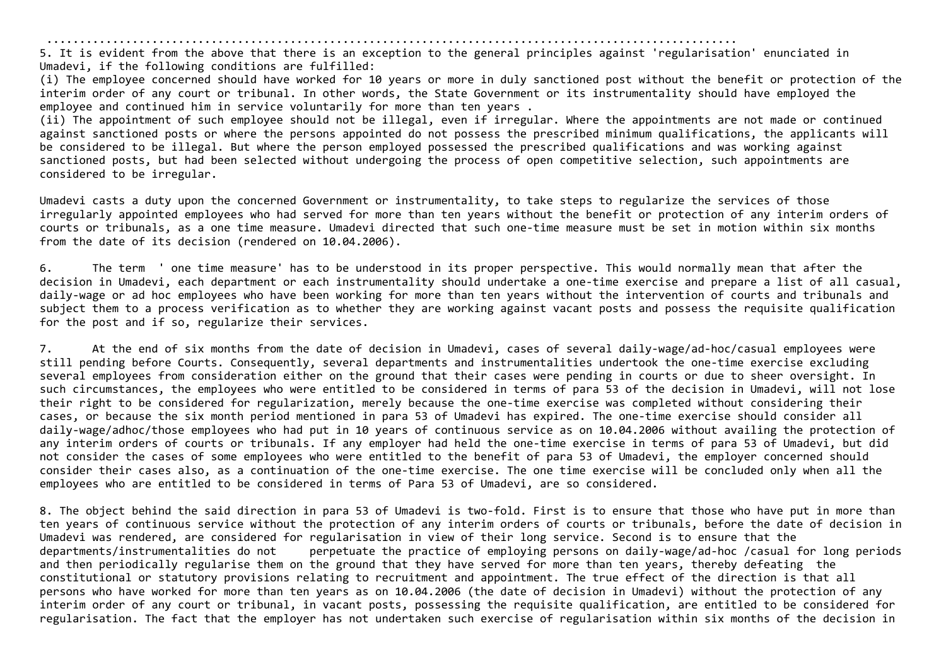.........................................................................................................

5. It is evident from the above that there is an exception to the general principles against 'regularisation' enunciated in Umadevi, if the following conditions are fulfilled:

(i) The employee concerned should have worked for 10 years or more in duly sanctioned post without the benefit or protection of the interim order of any court or tribunal. In other words, the State Government or its instrumentality should have employed the employee and continued him in service voluntarily for more than ten years .

(ii) The appointment of such employee should not be illegal, even if irregular. Where the appointments are not made or continued against sanctioned posts or where the persons appointed do not possess the prescribed minimum qualifications, the applicants will be considered to be illegal. But where the person employed possessed the prescribed qualifications and was working against sanctioned posts, but had been selected without undergoing the process of open competitive selection, such appointments are considered to be irregular.

Umadevi casts a duty upon the concerned Government or instrumentality, to take steps to regularize the services of those irregularly appointed employees who had served for more than ten years without the benefit or protection of any interim orders of courts or tribunals, as a one time measure. Umadevi directed that such one‐time measure must be set in motion within six months from the date of its decision (rendered on 10.04.2006).

6. The term ' one time measure' has to be understood in its proper perspective. This would normally mean that after the decision in Umadevi, each department or each instrumentality should undertake a one‐time exercise and prepare a list of all casual, daily‐wage or ad hoc employees who have been working for more than ten years without the intervention of courts and tribunals and subject them to a process verification as to whether they are working against vacant posts and possess the requisite qualification for the post and if so, regularize their services.

7. At the end of six months from the date of decision in Umadevi, cases of several daily‐wage/ad‐hoc/casual employees were still pending before Courts. Consequently, several departments and instrumentalities undertook the one‐time exercise excluding several employees from consideration either on the ground that their cases were pending in courts or due to sheer oversight. In such circumstances, the employees who were entitled to be considered in terms of para 53 of the decision in Umadevi, will not lose their right to be considered for regularization, merely because the one‐time exercise was completed without considering their cases, or because the six month period mentioned in para 53 of Umadevi has expired. The one‐time exercise should consider all daily-wage/adhoc/those employees who had put in 10 years of continuous service as on 10.04.2006 without availing the protection of any interim orders of courts or tribunals. If any employer had held the one‐time exercise in terms of para 53 of Umadevi, but did not consider the cases of some employees who were entitled to the benefit of para 53 of Umadevi, the employer concerned should consider their cases also, as a continuation of the one‐time exercise. The one time exercise will be concluded only when all the employees who are entitled to be considered in terms of Para 53 of Umadevi, are so considered.

8. The object behind the said direction in para 53 of Umadevi is two-fold. First is to ensure that those who have put in more than ten years of continuous service without the protection of any interim orders of courts or tribunals, before the date of decision in Umadevi was rendered, are considered for regularisation in view of their long service. Second is to ensure that the departments/instrumentalities do not perpetuate the practice of employing persons on daily‐wage/ad‐hoc /casual for long periods and then periodically regularise them on the ground that they have served for more than ten years, thereby defeating the constitutional or statutory provisions relating to recruitment and appointment. The true effect of the direction is that all persons who have worked for more than ten years as on 10.04.2006 (the date of decision in Umadevi) without the protection of any interim order of any court or tribunal, in vacant posts, possessing the requisite qualification, are entitled to be considered for regularisation. The fact that the employer has not undertaken such exercise of regularisation within six months of the decision in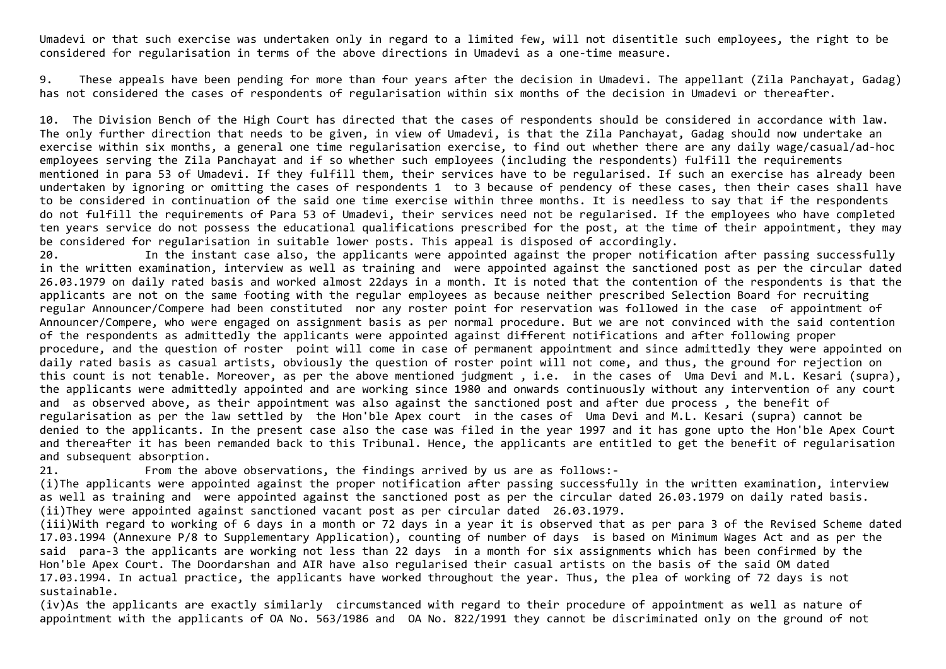Umadevi or that such exercise was undertaken only in regard to a limited few, will not disentitle such employees, the right to be considered for regularisation in terms of the above directions in Umadevi as a one‐time measure.

9. These appeals have been pending for more than four years after the decision in Umadevi. The appellant (Zila Panchayat, Gadag) has not considered the cases of respondents of regularisation within six months of the decision in Umadevi or thereafter.

10. The Division Bench of the High Court has directed that the cases of respondents should be considered in accordance with law. The only further direction that needs to be given, in view of Umadevi, is that the Zila Panchayat, Gadag should now undertake an exercise within six months, a general one time regularisation exercise, to find out whether there are any daily wage/casual/ad‐hoc employees serving the Zila Panchayat and if so whether such employees (including the respondents) fulfill the requirements mentioned in para 53 of Umadevi. If they fulfill them, their services have to be regularised. If such an exercise has already been undertaken by ignoring or omitting the cases of respondents 1 to 3 because of pendency of these cases, then their cases shall have to be considered in continuation of the said one time exercise within three months. It is needless to say that if the respondents do not fulfill the requirements of Para 53 of Umadevi, their services need not be regularised. If the employees who have completed ten years service do not possess the educational qualifications prescribed for the post, at the time of their appointment, they may be considered for regularisation in suitable lower posts. This appeal is disposed of accordingly.

20. In the instant case also, the applicants were appointed against the proper notification after passing successfully in the written examination, interview as well as training and were appointed against the sanctioned post as per the circular dated 26.03.1979 on daily rated basis and worked almost 22days in a month. It is noted that the contention of the respondents is that the applicants are not on the same footing with the regular employees as because neither prescribed Selection Board for recruiting regular Announcer/Compere had been constituted nor any roster point for reservation was followed in the case of appointment of Announcer/Compere, who were engaged on assignment basis as per normal procedure. But we are not convinced with the said contention of the respondents as admittedly the applicants were appointed against different notifications and after following proper procedure, and the question of roster point will come in case of permanent appointment and since admittedly they were appointed on daily rated basis as casual artists, obviously the question of roster point will not come, and thus, the ground for rejection on this count is not tenable. Moreover, as per the above mentioned judgment , i.e. in the cases of Uma Devi and M.L. Kesari (supra), the applicants were admittedly appointed and are working since 1980 and onwards continuously without any intervention of any court and as observed above, as their appointment was also against the sanctioned post and after due process , the benefit of regularisation as per the law settled by the Hon'ble Apex court in the cases of Uma Devi and M.L. Kesari (supra) cannot be denied to the applicants. In the present case also the case was filed in the year 1997 and it has gone upto the Hon'ble Apex Court and thereafter it has been remanded back to this Tribunal. Hence, the applicants are entitled to get the benefit of regularisation and subsequent absorption.

21. From the above observations, the findings arrived by us are as follows:-

(i)The applicants were appointed against the proper notification after passing successfully in the written examination, interview as well as training and were appointed against the sanctioned post as per the circular dated 26.03.1979 on daily rated basis. (ii)They were appointed against sanctioned vacant post as per circular dated 26.03.1979.

(iii)With regard to working of 6 days in a month or 72 days in a year it is observed that as per para 3 of the Revised Scheme dated 17.03.1994 (Annexure P/8 to Supplementary Application), counting of number of days is based on Minimum Wages Act and as per the said para‐3 the applicants are working not less than 22 days in a month for six assignments which has been confirmed by the Hon'ble Apex Court. The Doordarshan and AIR have also regularised their casual artists on the basis of the said OM dated 17.03.1994. In actual practice, the applicants have worked throughout the year. Thus, the plea of working of 72 days is not sustainable.

(iv)As the applicants are exactly similarly circumstanced with regard to their procedure of appointment as well as nature of appointment with the applicants of OA No. 563/1986 and OA No. 822/1991 they cannot be discriminated only on the ground of not